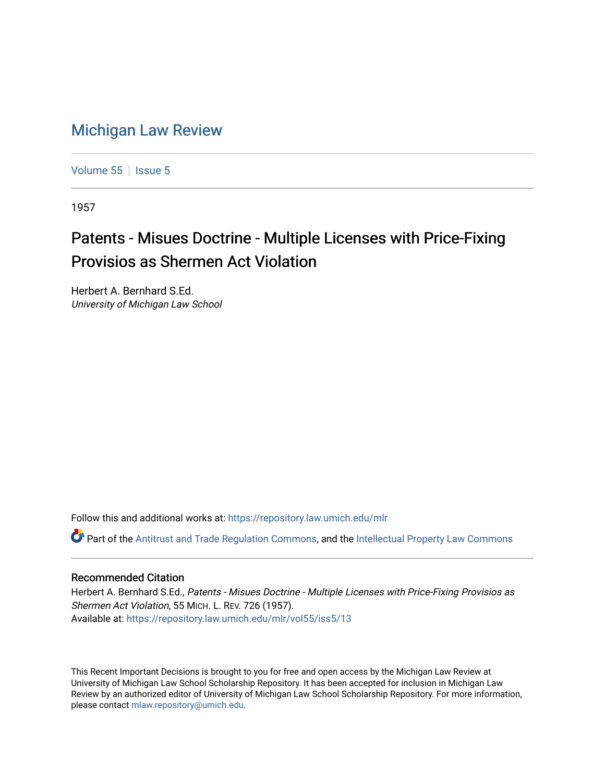## [Michigan Law Review](https://repository.law.umich.edu/mlr)

[Volume 55](https://repository.law.umich.edu/mlr/vol55) | [Issue 5](https://repository.law.umich.edu/mlr/vol55/iss5)

1957

## Patents - Misues Doctrine - Multiple Licenses with Price-Fixing Provisios as Shermen Act Violation

Herbert A. Bernhard S.Ed. University of Michigan Law School

Follow this and additional works at: [https://repository.law.umich.edu/mlr](https://repository.law.umich.edu/mlr?utm_source=repository.law.umich.edu%2Fmlr%2Fvol55%2Fiss5%2F13&utm_medium=PDF&utm_campaign=PDFCoverPages) 

Part of the [Antitrust and Trade Regulation Commons,](http://network.bepress.com/hgg/discipline/911?utm_source=repository.law.umich.edu%2Fmlr%2Fvol55%2Fiss5%2F13&utm_medium=PDF&utm_campaign=PDFCoverPages) and the [Intellectual Property Law Commons](http://network.bepress.com/hgg/discipline/896?utm_source=repository.law.umich.edu%2Fmlr%2Fvol55%2Fiss5%2F13&utm_medium=PDF&utm_campaign=PDFCoverPages)

## Recommended Citation

Herbert A. Bernhard S.Ed., Patents - Misues Doctrine - Multiple Licenses with Price-Fixing Provisios as Shermen Act Violation, 55 MICH. L. REV. 726 (1957). Available at: [https://repository.law.umich.edu/mlr/vol55/iss5/13](https://repository.law.umich.edu/mlr/vol55/iss5/13?utm_source=repository.law.umich.edu%2Fmlr%2Fvol55%2Fiss5%2F13&utm_medium=PDF&utm_campaign=PDFCoverPages) 

This Recent Important Decisions is brought to you for free and open access by the Michigan Law Review at University of Michigan Law School Scholarship Repository. It has been accepted for inclusion in Michigan Law Review by an authorized editor of University of Michigan Law School Scholarship Repository. For more information, please contact [mlaw.repository@umich.edu.](mailto:mlaw.repository@umich.edu)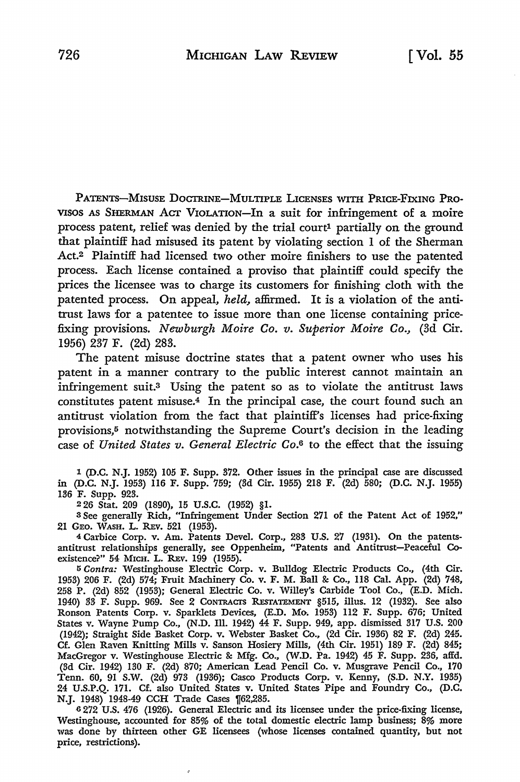PATENTS-MISUSE DoCTR.INE-MULTIPLE LICENSES WITH PRICE-FIXING PRO-VISOS AS SHERMAN ACT VIOLATION-In a suit for infringement of a moire process patent, relief was denied by the trial court<sup>1</sup> partially on the ground that plaintiff had misused its patent by violating section 1 of the Sherman Act.2 Plaintiff had licensed two other moire finishers to use the patented process. Each license contained a proviso that plaintiff could specify the prices the licensee was to charge its customers for finishing cloth with the patented process. On appeal, *held,* affirmed. It is a violation of the antitrust laws for a patentee to issue more than one license containing pricefixing provisions. *Newburgh Moire Co. v. Superior Moire Co.,* (3d Cir. 1956) 237 F. (2d) 283.

The patent misuse doctrine states that a patent owner who uses his patent in a manner contrary to the public interest cannot maintain an infringement suit.3 Using the patent so as to violate the antitrust laws constitutes patent misuse.4 In the principal case, the court found such an antitrust violation from the fact that plaintiff's licenses had price-fixing provisions,<sup>5</sup> notwithstanding the Supreme Court's decision in the leading case of *United States v. General Electric Co.6* to the effect that the issuing

1 (D.C. N.J. 1952) 105 F. Supp. 372. Other issues in the principal case are discussed in (D.C. N.J. 1953) 116 F. Supp. 759; (3d Cir. 1955) 218 F. (2d) 580; (D.C. N.J. 1955) 136 F. Supp. 923.

<sup>2</sup>26 Stat. 209 (1890), 15 U.S.C. (1952) §1.

é

<sup>3</sup>See generally Rich, "Infringement Under Section 271 of the Patent Act of 1952," 21 GEO. WASH. L. REv. 521 (1953).

4 Carbice Corp. v. Am. Patents Devel. Corp., 283 U.S. 27 (1931). On the patentsantitrust relationships generally, see Oppenheim, "Patents and Antitrust-Peaceful Coexistence?" 54 MICH. L. REV. 199 (1955).

5 *Contra:* Westinghouse Electric Corp. v. Bulldog Electric Products Co., (4th Cir. 1953) 206 F. (2d) 574; Fruit Machinery Co. v. F. M. Ball & Co., 118 Cal. App. (2d) 748, 258 P. (2d) 852 (1953); General Electric Co. v. Willey's Carbide Tool Co., (E.D. Mich. 1940) 33 F. Supp. 969. See 2 CONTRAcrs REsTATEMENT §515, illus. 12 (1932). See also Ronson Patents Corp. v. Sparklets Devices, (E.D. Mo-. 1953) 112 F. Supp. 676; United States v. Wayne Pump Co., (N.D. Ill. 1942) 44 F. Supp. 949, app. dismissed 317 U.S. 200 (1942); Straight Side Basket Corp. v. Webster Basket Co., (2d Cir. 1936) 82 F. (2d) 245. Cf. Glen Raven Knitting Mills v. Sanson Hosiery Mills, (4th Cir. 1951) 189 F. (2d) 845; MacGregor v. Westinghouse Electric & Mfg. Co., (W.D. Pa. 1942) 45 F. Supp. 236, affd. (3d Cir. 1942) 130 F. (2d) 870; American Lead Pencil Co. v. Musgrave Pencil Co., 170 Tenn. 60, 91 S.W. (2d) 973 (1936); Casco Products Corp. v. Kenny, (S.D. N.Y. 1935) 24 U.S.P.Q. 171. Cf. also United States v. United States Pipe and Foundry Co., (D.C. N.J. 1948) 1948-49 CCH Trade Cases 1[62,285.

<sup>6</sup>272 U.S. 476 (1926). General Electric and its licensee under the price-fixing license, Westinghouse, accounted for 85% of the total domestic electric lamp business; 8% more was done by thirteen other GE licensees (whose licenses contained quantity, but not price, restrictions).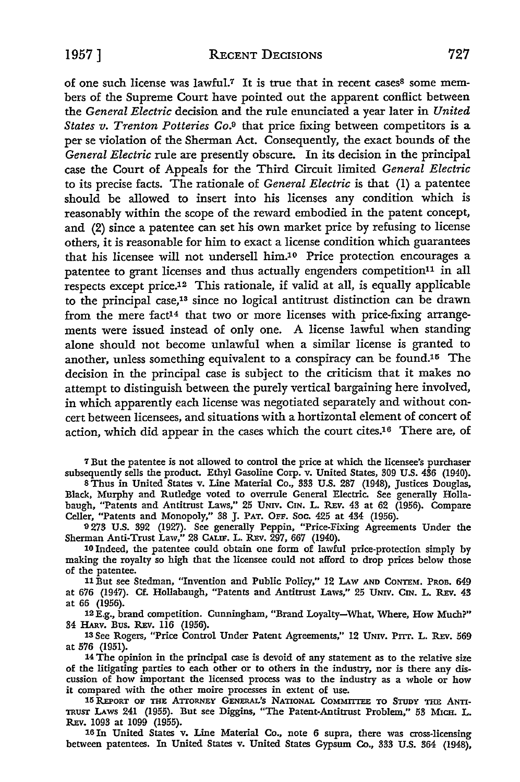of one such license was lawful.<sup>7</sup> It is true that in recent cases<sup>8</sup> some members of the Supreme Court have pointed out the apparent conflict between the *General Electric* decision and the rule enunciated a year later in *United States v. Trenton Potteries Co.9* that price fixing between competitors is a per se violation of the Sherman Act. Consequently, the exact bounds of the *General Electric* rule are presently obscure. In its decision in the principal case the Court of Appeals for the Third Circuit limited *General Electric*  to its precise facts. The rationale of *General Electric* is that (1) a patentee should be allowed to insert into his licenses any condition which is reasonably within the scope of the reward embodied in the patent concept, and (2) since a patentee can set his own market price by refusing to license others, it is reasonable for him to exact a license condition which guarantees that his licensee will not undersell him.10 Price protection encourages a patentee to grant licenses and thus actually engenders competition<sup>11</sup> in all respects except price.12 This rationale, if valid at all, is equally applicable to the principal case,13 since no logical antitrust distinction can be drawn from the mere fact<sup>14</sup> that two or more licenses with price-fixing arrangements were issued instead of only one. A license lawful when standing alone should not become unlawful when a similar license is granted to another, unless something equivalent to a conspiracy can be found.<sup>15</sup> The decision in the principal case is subject to the criticism that it makes no attempt to distinguish between the purely vertical bargaining here involved, in which apparently each license was negotiated separately and without concert between licensees, and situations with a hortizontal element of concert of action, which did appear in the cases which the court cites.16 There are, of

7 But the patentee is not allowed to control the price at which the licensee's purchaser subsequently sells the product. Ethyl Gasoline Corp. v. United States, 309 U.S. 436 (1940).

<sup>8</sup>Thus in United States v. Line Material Co., 333 U.S. 287 (1948), Justices Douglas, Black, Murphy and Rutledge voted to overrule General Electric. See generally Hollabaugh, "Patents and Antitrust Laws," 25 UNIV. CIN. L. REv. 43 at 62 (1956). Compare Celler, "Patents and Monopoly," 38 J. PAT. OFF. Soc. 425 at 434 (1956).

9 273 U.S. 392 (1927). See generally Peppin, "Price-Fixing Agreements Under the Sherman Anti-Trust Law," 28 CALIF. L. REv. 297, 667 (1940).

10 Indeed, the patentee could obtain one form of lawful price-protection simply by making the royalty so high that the licensee could not afford to drop prices below those of the patentee.

11 But see Stedman, "Invention and Public Policy," 12 LAw AND CoNTEM. PROB. 649 at 676 (1947). Cf. Hollabaugh, "Patents and Antitrust Laws," 25 UNIV. CIN. L. REv. 43 at 66 (1956).

12E.g., brand competition. Cunningham, "Brand Loyalty-What, Where, How Much?" 34 HARV. Bus. REv. 116 (1956).

13 See Rogers, "Price Control Under Patent Agreements," 12 UNIV. PITT. L. REV. 569 at 576 (1951).

14 The opinion in the principal case is devoid of any statement as to the relative size of the litigating parties to each other or to others in the industry, nor is there any discussion of how important the licensed process was to the industry as a whole or how it compared with the other moire processes in extent of use.

15 REPORT OF THE ATTORNEY GENERAL'S NATIONAL COMMITTEE TO STUDY THE ANTI-TRUST LAws 241 (1955). But see Diggins, "The Patent-Antitrust Problem," 53 MICH. L. REv. 1093 at 1099 (1955).

16 In United States v. Line Material Co., note 6 supra, there was cross-licensing between patentees. In United States v. United States Gypsum Co., 333 U.S. 364 (1948),